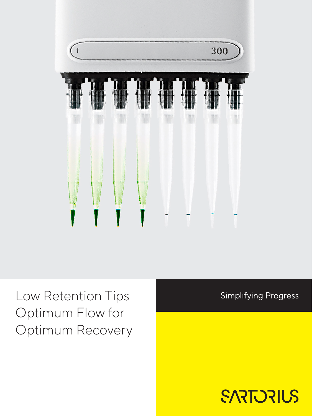

Low Retention Tips Optimum Flow for Optimum Recovery **Simplifying Progress** 

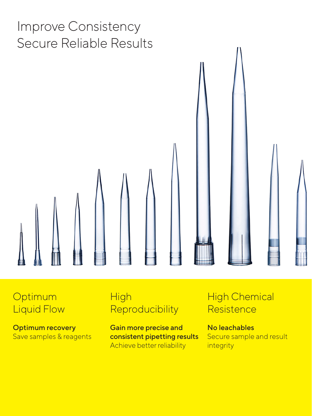

## **Optimum** Liquid Flow

Optimum recovery Save samples & reagents

## **High Reproducibility**

Gain more precise and consistent pipetting results Achieve better reliability

## High Chemical **Resistence**

No leachables Secure sample and result integrity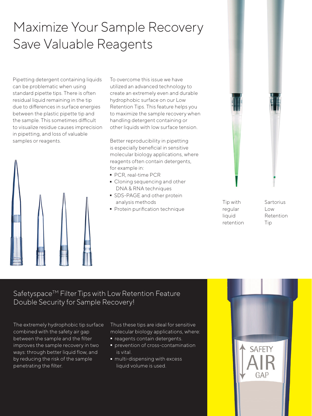## Maximize Your Sample Recovery Save Valuable Reagents

Pipetting detergent containing liquids can be problematic when using standard pipette tips. There is often residual liquid remaining in the tip due to differences in surface energies between the plastic pipette tip and the sample. This sometimes difficult to visualize residue causes imprecision in pipetting, and loss of valuable samples or reagents.



To overcome this issue we have utilized an advanced technology to create an extremely even and durable hydrophobic surface on our Low Retention Tips. This feature helps you to maximize the sample recovery when handling detergent containing or other liquids with low surface tension.

Better reproducibility in pipetting is especially beneficial in sensitive molecular biology applications, where reagents often contain detergents, for example in:

- 
- PCR, real-time PCR<br>■ Cloning sequencing Oloning sequencing and other<br>DNA & RNA techniques DNA & RNA techniques
- SDS-PAGE and other protein analysis methods
- Protein purification technique



Tip with regular liquid retention Sartorius Low Retention Tip

### Safetyspace™ Filter Tips with Low Retention Feature Double Security for Sample Recovery!

The extremely hydrophobic tip surface combined with the safety air gap between the sample and the filter improves the sample recovery in two ways: through better liquid flow, and by reducing the risk of the sample penetrating the filter.

Thus these tips are ideal for sensitive molecular biology applications, where:

- 
- neagents contain detergents.<br>• prevention of cross-contamir - prevention of cross-contamination is vital.
- multi-dispensing with excess liquid volume is used.

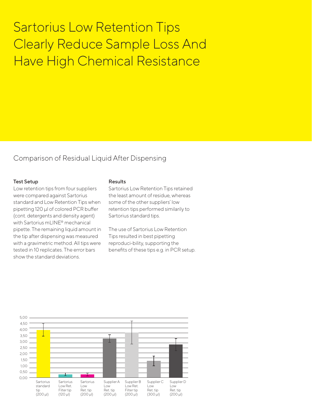## Sartorius Low Retention Tips Clearly Reduce Sample Loss And Have High Chemical Resistance

#### Comparison of Residual Liquid After Dispensing

#### Test Setup

Low retention tips from four suppliers were compared against Sartorius standard and Low Retention Tips when pipetting 120 µl of colored PCR buffer (cont. detergents and density agent) with Sartorius mLINE® mechanical pipette. The remaining liquid amount in the tip after dispensing was measured with a gravimetric method. All tips were tested in 10 replicates. The error bars show the standard deviations.

#### Results

Sartorius Low Retention Tips retained the least amount of residue, whereas some of the other suppliers' low retention tips performed similarily to Sartorius standard tips.

The use of Sartorius Low Retention Tips resulted in best pipetting reproduci-bility, supporting the benefits of these tips e.g. in PCR setup.

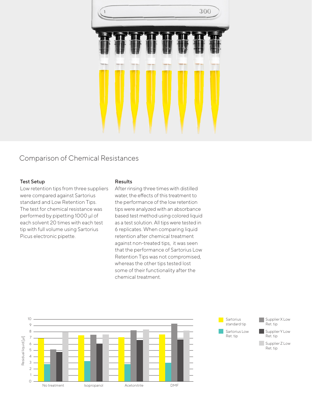

### Comparison of Chemical Resistances

#### Test Setup

Low retention tips from three suppliers were compared against Sartorius standard and Low Retention Tips. The test for chemical resistance was performed by pipetting 1000 µl of each solvent 20 times with each test tip with full volume using Sartorius Picus electronic pipette.

#### Results

After rinsing three times with distilled water, the effects of this treatment to the performance of the low retention tips were analyzed with an absorbance based test method using colored liquid as a test solution. All tips were tested in 6 replicates. When comparing liquid retention after chemical treatment against non-treated tips, it was seen that the performance of Sartorius Low Retention Tips was not compromised, whereas the other tips tested lost some of their functionality after the chemical treatment.



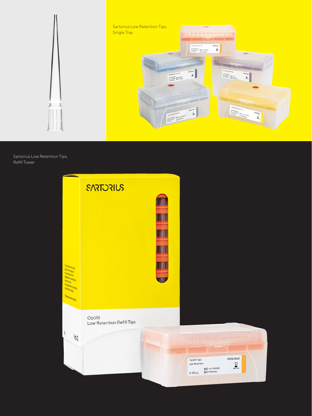

Sartorius Low Retention Tips, Refill Tower

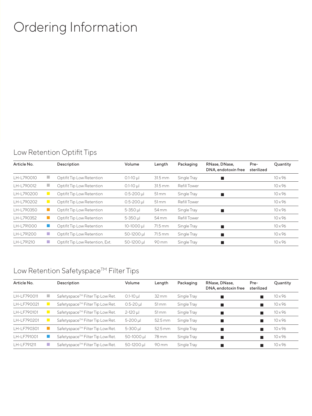## Ordering Information

### Low Retention Optifit Tips

| Article No. |             | Description                     | Volume          | Length             | Packaging           | RNase, DNase,<br>DNA, endotoxin free | Pre-<br>sterilized | Quantity       |
|-------------|-------------|---------------------------------|-----------------|--------------------|---------------------|--------------------------------------|--------------------|----------------|
| LH-L790010  |             | Optifit Tip Low Retention       | $0.1 - 10 \mu$  | 31.5 mm            | Single Tray         |                                      |                    | $10 \times 96$ |
| LH-L790012  |             | Optifit Tip Low Retention       | $0.1 - 10$ µ    | $31.5 \text{ mm}$  | <b>Refill Tower</b> |                                      |                    | $10 \times 96$ |
| LH-L790200  |             | Optifit Tip Low Retention       | $0.5 - 200$ µl  | $51 \,\mathrm{mm}$ | Single Tray         | ■                                    |                    | $10 \times 96$ |
| LH-L790202  |             | Optifit Tip Low Retention       | $0.5 - 200$ µl  | 51 mm              | <b>Refill Tower</b> |                                      |                    | $10 \times 96$ |
| LH-L790350  |             | Optifit Tip Low Retention       | 5-350 µl        | 54 mm              | Single Tray         |                                      |                    | $10 \times 96$ |
| LH-L790352  |             | Optifit Tip Low Retention       | $5 - 350$ $\mu$ | 54 mm              | <b>Refill Tower</b> |                                      |                    | $10 \times 96$ |
| LH-L791000  | <u>e a </u> | Optifit Tip Low Retention       | $10 - 1000 \mu$ | 71.5 mm            | Single Tray         | п                                    |                    | $10 \times 96$ |
| LH-L791200  | a.          | Optifit Tip Low Retention       | 50-1200 µl      | 71.5 mm            | Single Tray         |                                      |                    | $10 \times 96$ |
| LH-L791210  | a.          | Optifit Tip Low Retention, Ext. | 50-1200 µl      | 90 mm              | Single Tray         |                                      |                    | $10 \times 96$ |

## Low Retention Safetyspace™ Filter Tips

| Article No. |     | Description                      | Volume          | Length             | Packaging   | RNase, DNase,<br>DNA, endotoxin free | Pre-<br>sterilized | Quantity       |
|-------------|-----|----------------------------------|-----------------|--------------------|-------------|--------------------------------------|--------------------|----------------|
| LH-LF790011 |     | Safetyspace™ Filter Tip Low Ret. | $0.1 - 10 \mu$  | $32 \,\mathrm{mm}$ | Single Tray |                                      |                    | $10\times 96$  |
| LH-LF790021 |     | Safetyspace™ Filter Tip Low Ret. | $0.5 - 20$ µ    | $51 \,\mathrm{mm}$ | Single Tray |                                      |                    | $10 \times 96$ |
| LH-LF790101 |     | Safetyspace™ Filter Tip Low Ret. | $2 - 120$ $\mu$ | $51 \,\mathrm{mm}$ | Single Tray |                                      |                    | $10 \times 96$ |
| LH-LF790201 |     | Safetyspace™ Filter Tip Low Ret. | 5-200 µl        | 52.5 mm            | Single Tray |                                      |                    | $10 \times 96$ |
| LH-LF790301 |     | Safetyspace™ Filter Tip Low Ret. | $5 - 300$ $\mu$ | 52.5 mm            | Single Tray |                                      |                    | $10 \times 96$ |
| LH-LF791001 |     | Safetyspace™ Filter Tip Low Ret. | 50-1000 µl      | 78 mm              | Single Tray |                                      |                    | $10 \times 96$ |
| LH-LF791211 | a a | Safetyspace™ Filter Tip Low Ret. | 50-1200 µl      | 90 mm              | Single Tray |                                      |                    | $10 \times 96$ |